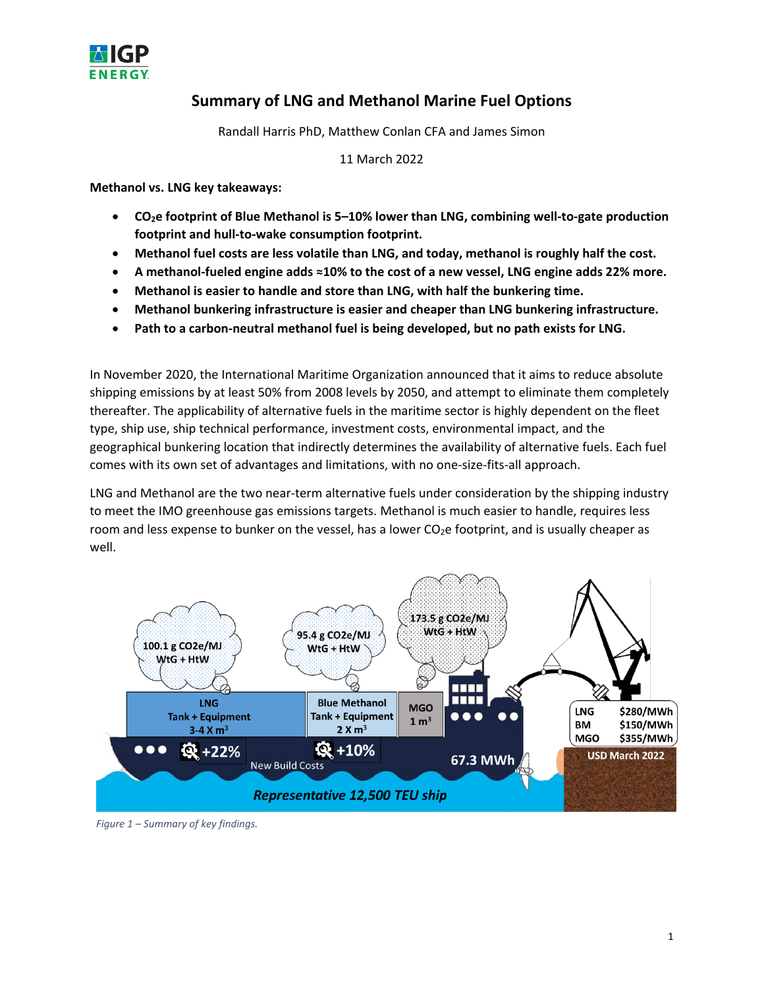

## **Summary of LNG and Methanol Marine Fuel Options**

Randall Harris PhD, Matthew Conlan CFA and James Simon

11 March 2022

**Methanol vs. LNG key takeaways:**

- **CO2e footprint of Blue Methanol is 5–10% lower than LNG, combining well-to-gate production footprint and hull-to-wake consumption footprint.**
- **Methanol fuel costs are less volatile than LNG, and today, methanol is roughly half the cost.**
- **A methanol-fueled engine adds ≈10% to the cost of a new vessel, LNG engine adds 22% more.**
- **Methanol is easier to handle and store than LNG, with half the bunkering time.**
- **Methanol bunkering infrastructure is easier and cheaper than LNG bunkering infrastructure.**
- **Path to a carbon-neutral methanol fuel is being developed, but no path exists for LNG.**

In November 2020, the International Maritime Organization announced that it aims to reduce absolute shipping emissions by at least 50% from 2008 levels by 2050, and attempt to eliminate them completely thereafter. The applicability of alternative fuels in the maritime sector is highly dependent on the fleet type, ship use, ship technical performance, investment costs, environmental impact, and the geographical bunkering location that indirectly determines the availability of alternative fuels. Each fuel comes with its own set of advantages and limitations, with no one-size-fits-all approach.

LNG and Methanol are the two near-term alternative fuels under consideration by the shipping industry to meet the IMO greenhouse gas emissions targets. Methanol is much easier to handle, requires less room and less expense to bunker on the vessel, has a lower CO<sub>2</sub>e footprint, and is usually cheaper as well.



*Figure 1 – Summary of key findings.*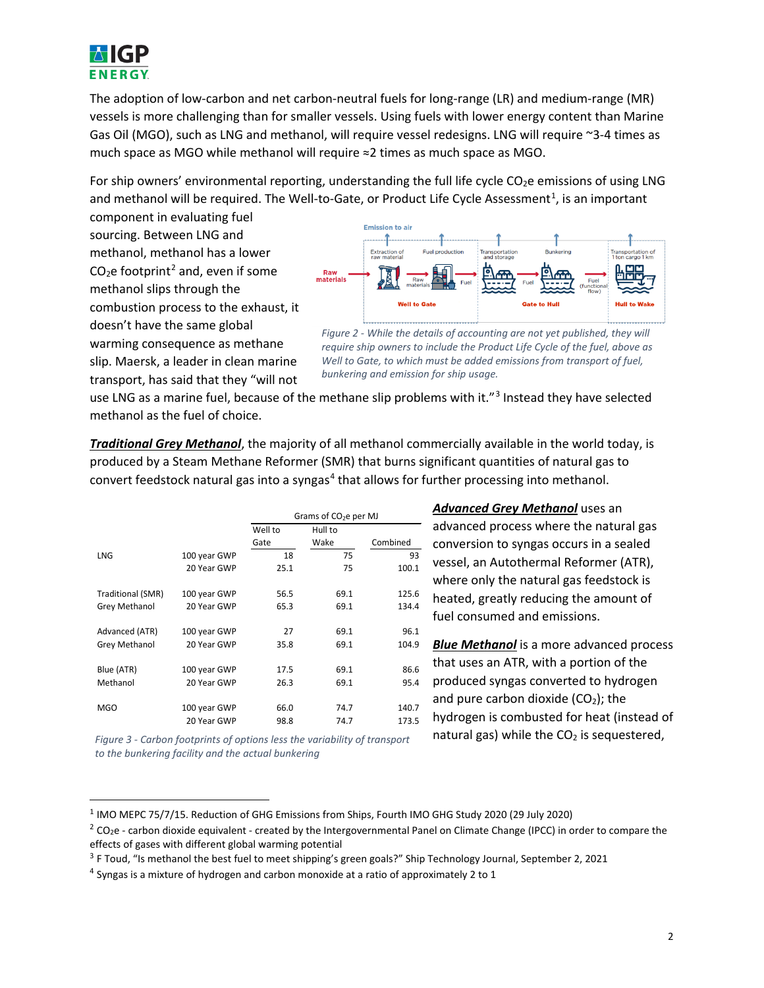

The adoption of low-carbon and net carbon-neutral fuels for long-range (LR) and medium-range (MR) vessels is more challenging than for smaller vessels. Using fuels with lower energy content than Marine Gas Oil (MGO), such as LNG and methanol, will require vessel redesigns. LNG will require ~3-4 times as much space as MGO while methanol will require ≈2 times as much space as MGO.

For ship owners' environmental reporting, understanding the full life cycle  $CO<sub>2</sub>e$  emissions of using LNG and methanol will be required. The Well-to-Gate, or Product Life Cycle Assessment<sup>[1](#page-1-0)</sup>, is an important

component in evaluating fuel sourcing. Between LNG and methanol, methanol has a lower  $CO<sub>2</sub>e$  $CO<sub>2</sub>e$  $CO<sub>2</sub>e$  footprint<sup>2</sup> and, even if some methanol slips through the combustion process to the exhaust, it doesn't have the same global warming consequence as methane slip. Maersk, a leader in clean marine transport, has said that they "will not



*Figure 2 - While the details of accounting are not yet published, they will require ship owners to include the Product Life Cycle of the fuel, above as Well to Gate, to which must be added emissions from transport of fuel, bunkering and emission for ship usage.*

use LNG as a marine fuel, because of the methane slip problems with it."<sup>[3](#page-1-2)</sup> Instead they have selected methanol as the fuel of choice.

*Traditional Grey Methanol*, the majority of all methanol commercially available in the world today, is produced by a Steam Methane Reformer (SMR) that burns significant quantities of natural gas to convert feedstock natural gas into a syngas<sup>[4](#page-1-3)</sup> that allows for further processing into methanol.

|                   |              | Grams of $CO2e$ per MJ |         |          |  |
|-------------------|--------------|------------------------|---------|----------|--|
|                   |              | Well to                | Hull to |          |  |
|                   |              | Gate                   | Wake    | Combined |  |
| <b>LNG</b>        | 100 year GWP | 18                     | 75      | 93       |  |
|                   | 20 Year GWP  | 25.1                   | 75      | 100.1    |  |
| Traditional (SMR) | 100 year GWP | 56.5                   | 69.1    | 125.6    |  |
| Grey Methanol     | 20 Year GWP  | 65.3                   | 69.1    | 134.4    |  |
| Advanced (ATR)    | 100 year GWP | 27                     | 69.1    | 96.1     |  |
| Grey Methanol     | 20 Year GWP  | 35.8                   | 69.1    | 104.9    |  |
| Blue (ATR)        | 100 year GWP | 17.5                   | 69.1    | 86.6     |  |
| Methanol          | 20 Year GWP  | 26.3                   | 69.1    | 95.4     |  |
| <b>MGO</b>        | 100 year GWP | 66.0                   | 74.7    | 140.7    |  |
|                   | 20 Year GWP  | 98.8                   | 74.7    | 173.5    |  |

*Figure 3 - Carbon footprints of options less the variability of transport to the bunkering facility and the actual bunkering*

 $\overline{\phantom{a}}$ 

*Advanced Grey Methanol* uses an advanced process where the natural gas conversion to syngas occurs in a sealed vessel, an Autothermal Reformer (ATR), where only the natural gas feedstock is heated, greatly reducing the amount of fuel consumed and emissions.

*Blue Methanol* is a more advanced process that uses an ATR, with a portion of the produced syngas converted to hydrogen and pure carbon dioxide ( $CO<sub>2</sub>$ ); the hydrogen is combusted for heat (instead of natural gas) while the  $CO<sub>2</sub>$  is sequestered,

<span id="page-1-0"></span><sup>1</sup> IMO MEPC 75/7/15. Reduction of GHG Emissions from Ships, Fourth IMO GHG Study 2020 (29 July 2020)

<span id="page-1-1"></span> $2$  CO<sub>2</sub>e - carbon dioxide equivalent - created by the Intergovernmental Panel on Climate Change (IPCC) in order to compare the effects of gases with different global warming potential

<span id="page-1-2"></span><sup>&</sup>lt;sup>3</sup> F Toud, "Is methanol the best fuel to meet shipping's green goals?" Ship Technology Journal, September 2, 2021

<span id="page-1-3"></span> $4$  Syngas is a mixture of hydrogen and carbon monoxide at a ratio of approximately 2 to 1